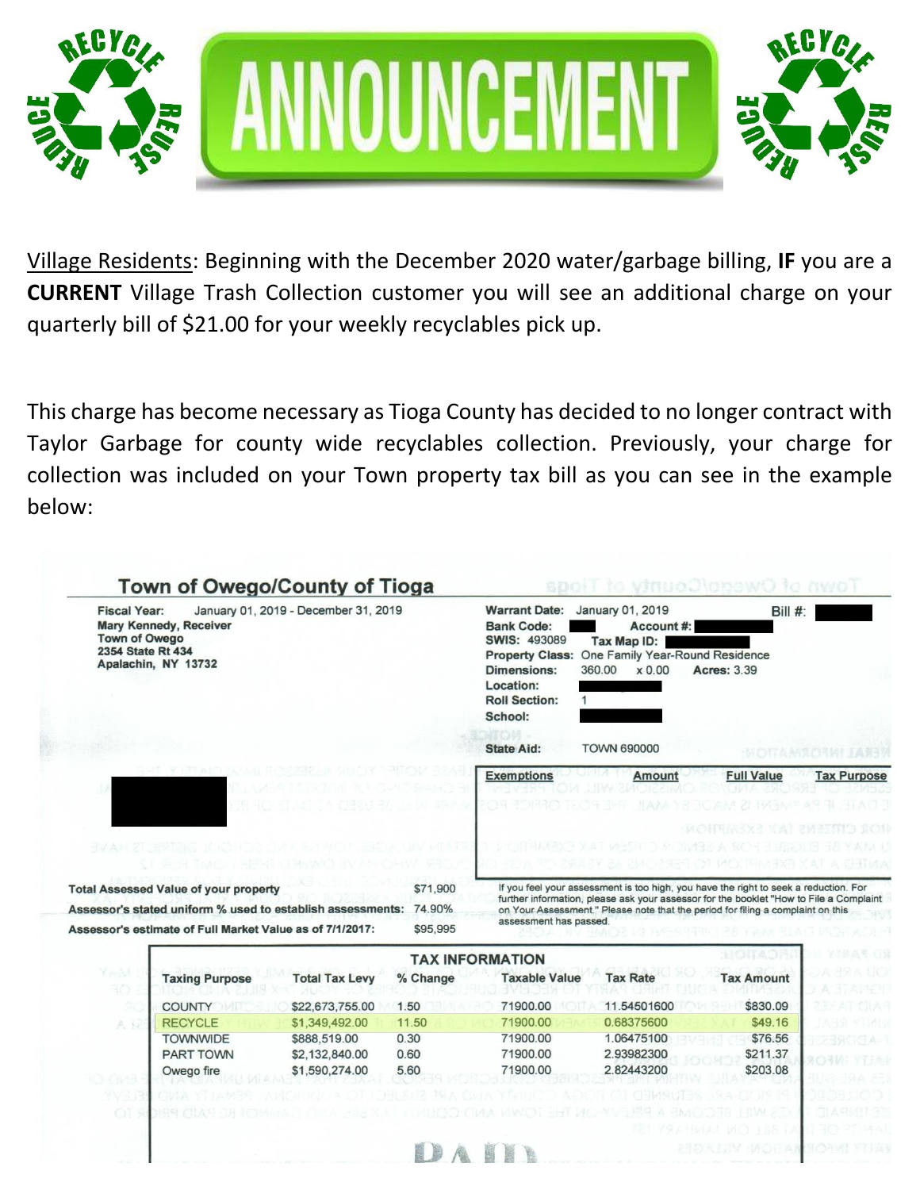



Village Residents: Beginning with the December 2020 water/garbage billing, **IF** you are a **CURRENT** Village Trash Collection customer you will see an additional charge on your quarterly bill of \$21.00 for your weekly recyclables pick up.

This charge has become necessary as Tioga County has decided to no longer contract with Taylor Garbage for county wide recyclables collection. Previously, your charge for collection was included on your Town property tax bill as you can see in the example below:

| January 01, 2019 - December 31, 2019<br><b>Fiscal Year:</b><br><b>Mary Kennedy, Receiver</b><br><b>Town of Owego</b><br>2354 State Rt 434<br>Apalachin, NY 13732 |                                                                                                                                                                        |                       |                                | <b>Warrant Date:</b><br><b>Bank Code:</b><br><b>SWIS: 493089</b><br><b>Property Class:</b><br><b>Dimensions:</b><br>Location:<br><b>Roll Section:</b><br>School: | January 01, 2019<br>Account#:<br>Tax Map ID:<br>One Family Year-Round Residence<br>360.00<br>$\times 0.00$                                                                                                                                                        | Bill #:<br><b>Acres: 3.39</b> |                    |
|------------------------------------------------------------------------------------------------------------------------------------------------------------------|------------------------------------------------------------------------------------------------------------------------------------------------------------------------|-----------------------|--------------------------------|------------------------------------------------------------------------------------------------------------------------------------------------------------------|-------------------------------------------------------------------------------------------------------------------------------------------------------------------------------------------------------------------------------------------------------------------|-------------------------------|--------------------|
|                                                                                                                                                                  |                                                                                                                                                                        |                       |                                | <b>State Aid:</b><br><b>TOWN 690000</b>                                                                                                                          |                                                                                                                                                                                                                                                                   |                               |                    |
|                                                                                                                                                                  |                                                                                                                                                                        |                       |                                | <b>Exemptions</b>                                                                                                                                                | <b>Amount</b>                                                                                                                                                                                                                                                     | <b>Full Value</b>             | <b>Tax Purpose</b> |
|                                                                                                                                                                  |                                                                                                                                                                        |                       |                                |                                                                                                                                                                  |                                                                                                                                                                                                                                                                   |                               | SOS                |
| -137.AD                                                                                                                                                          |                                                                                                                                                                        |                       |                                |                                                                                                                                                                  |                                                                                                                                                                                                                                                                   |                               |                    |
|                                                                                                                                                                  |                                                                                                                                                                        |                       |                                |                                                                                                                                                                  |                                                                                                                                                                                                                                                                   |                               |                    |
|                                                                                                                                                                  | <b>Total Assessed Value of your property</b><br>Assessor's stated uniform % used to establish assessments:<br>Assessor's estimate of Full Market Value as of 7/1/2017: |                       | \$71,900<br>74.90%<br>\$95,995 | assessment has passed.                                                                                                                                           | If you feel your assessment is too high, you have the right to seek a reduction. For<br>further information, please ask your assessor for the booklet "How to File a Complaint<br>on Your Assessment." Please note that the period for filing a complaint on this |                               |                    |
|                                                                                                                                                                  |                                                                                                                                                                        |                       |                                |                                                                                                                                                                  |                                                                                                                                                                                                                                                                   | <b>HONA</b>                   | y te a 9           |
| Y Alivi                                                                                                                                                          |                                                                                                                                                                        |                       | % Change                       | <b>TAX INFORMATION</b><br><b>Taxable Value</b>                                                                                                                   | <b>Tax Rate</b>                                                                                                                                                                                                                                                   | <b>Tax Amount</b>             |                    |
| 30-                                                                                                                                                              | <b>Taxing Purpose</b>                                                                                                                                                  | <b>Total Tax Levy</b> |                                |                                                                                                                                                                  |                                                                                                                                                                                                                                                                   |                               |                    |
|                                                                                                                                                                  | <b>COUNTY</b>                                                                                                                                                          | \$22,673,755.00       | 1.50                           | 71900.00                                                                                                                                                         | 11.54501600                                                                                                                                                                                                                                                       | \$830.09                      |                    |
| A N                                                                                                                                                              | <b>RECYCLE</b>                                                                                                                                                         | \$1,349,492.00        | 11.50                          | 71900.00                                                                                                                                                         | 0.68375600                                                                                                                                                                                                                                                        | \$49.16                       |                    |
|                                                                                                                                                                  | <b>TOWNMIDE</b>                                                                                                                                                        | \$888 519.00          | 0.30                           | 71900.00                                                                                                                                                         | 1.06475100                                                                                                                                                                                                                                                        | \$76.56                       |                    |

71900.00

71900.00

2.93982300

2.82443200

\$211.37

\$203.08

0.60

5.60

i b

\$2,132,840.00

\$1,590,274.00

**PART TOWN** 

Owego fire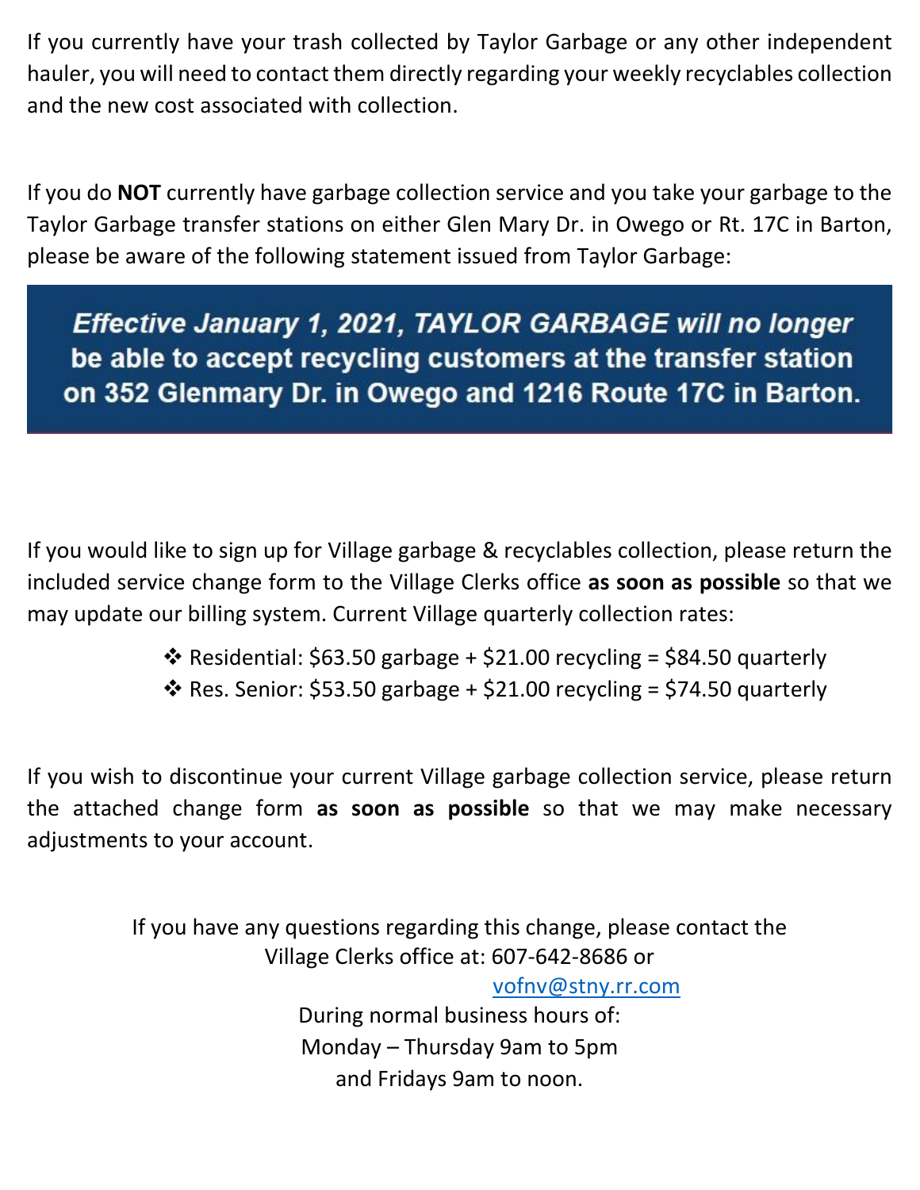If you currently have your trash collected by Taylor Garbage or any other independent hauler, you will need to contact them directly regarding your weekly recyclables collection and the new cost associated with collection.

If you do **NOT** currently have garbage collection service and you take your garbage to the Taylor Garbage transfer stations on either Glen Mary Dr. in Owego or Rt. 17C in Barton, please be aware of the following statement issued from Taylor Garbage:

Effective January 1, 2021, TAYLOR GARBAGE will no longer be able to accept recycling customers at the transfer station on 352 Glenmary Dr. in Owego and 1216 Route 17C in Barton.

If you would like to sign up for Village garbage & recyclables collection, please return the included service change form to the Village Clerks office **as soon as possible** so that we may update our billing system. Current Village quarterly collection rates:

- ❖ Residential: \$63.50 garbage + \$21.00 recycling = \$84.50 quarterly
- ❖ Res. Senior: \$53.50 garbage + \$21.00 recycling = \$74.50 quarterly

If you wish to discontinue your current Village garbage collection service, please return the attached change form **as soon as possible** so that we may make necessary adjustments to your account.

> If you have any questions regarding this change, please contact the Village Clerks office at: 607-642-8686 or [vofnv@stny.rr.com](mailto:vofnv@stny.rr.com) During normal business hours of: Monday – Thursday 9am to 5pm and Fridays 9am to noon.